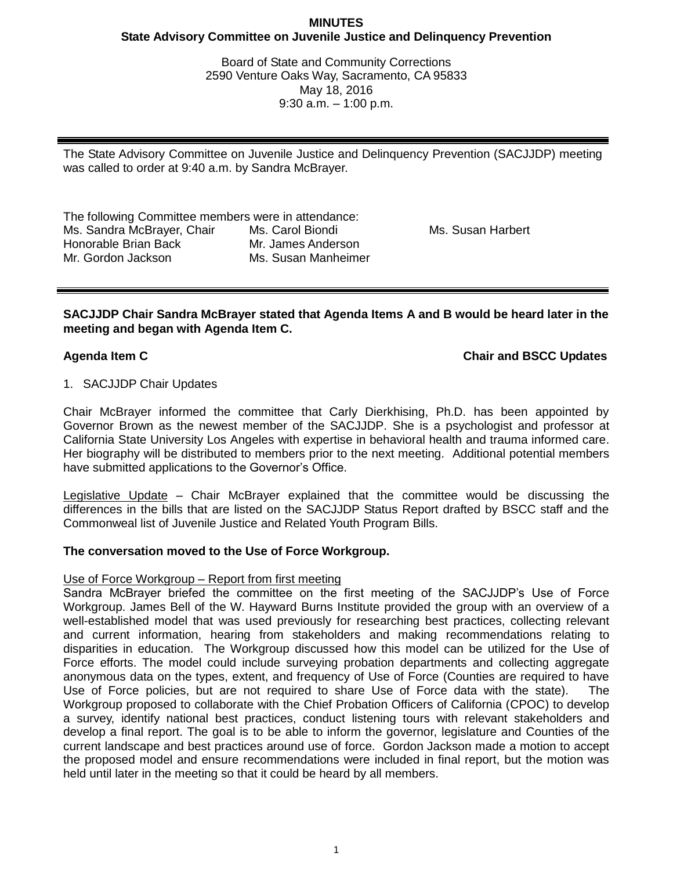# **MINUTES State Advisory Committee on Juvenile Justice and Delinquency Prevention**

Board of State and Community Corrections 2590 Venture Oaks Way, Sacramento, CA 95833 May 18, 2016 9:30 a.m. – 1:00 p.m.

The State Advisory Committee on Juvenile Justice and Delinquency Prevention (SACJJDP) meeting was called to order at 9:40 a.m. by Sandra McBrayer.

The following Committee members were in attendance: Ms. Sandra McBrayer, Chair Honorable Brian Back Mr. Gordon Jackson Ms. Carol Biondi Mr. James Anderson Ms. Susan Manheimer

Ms. Susan Harbert

**SACJJDP Chair Sandra McBrayer stated that Agenda Items A and B would be heard later in the meeting and began with Agenda Item C.**

# **Agenda Item C Chair and BSCC Updates**

# 1. SACJJDP Chair Updates

Chair McBrayer informed the committee that Carly Dierkhising, Ph.D. has been appointed by Governor Brown as the newest member of the SACJJDP. She is a psychologist and professor at California State University Los Angeles with expertise in behavioral health and trauma informed care. Her biography will be distributed to members prior to the next meeting. Additional potential members have submitted applications to the Governor's Office.

Legislative Update - Chair McBrayer explained that the committee would be discussing the differences in the bills that are listed on the SACJJDP Status Report drafted by BSCC staff and the Commonweal list of Juvenile Justice and Related Youth Program Bills.

### **The conversation moved to the Use of Force Workgroup.**

### Use of Force Workgroup – Report from first meeting

Sandra McBrayer briefed the committee on the first meeting of the SACJJDP's Use of Force Workgroup. James Bell of the W. Hayward Burns Institute provided the group with an overview of a well-established model that was used previously for researching best practices, collecting relevant and current information, hearing from stakeholders and making recommendations relating to disparities in education. The Workgroup discussed how this model can be utilized for the Use of Force efforts. The model could include surveying probation departments and collecting aggregate anonymous data on the types, extent, and frequency of Use of Force (Counties are required to have Use of Force policies, but are not required to share Use of Force data with the state). The Workgroup proposed to collaborate with the Chief Probation Officers of California (CPOC) to develop a survey, identify national best practices, conduct listening tours with relevant stakeholders and develop a final report. The goal is to be able to inform the governor, legislature and Counties of the current landscape and best practices around use of force. Gordon Jackson made a motion to accept the proposed model and ensure recommendations were included in final report, but the motion was held until later in the meeting so that it could be heard by all members.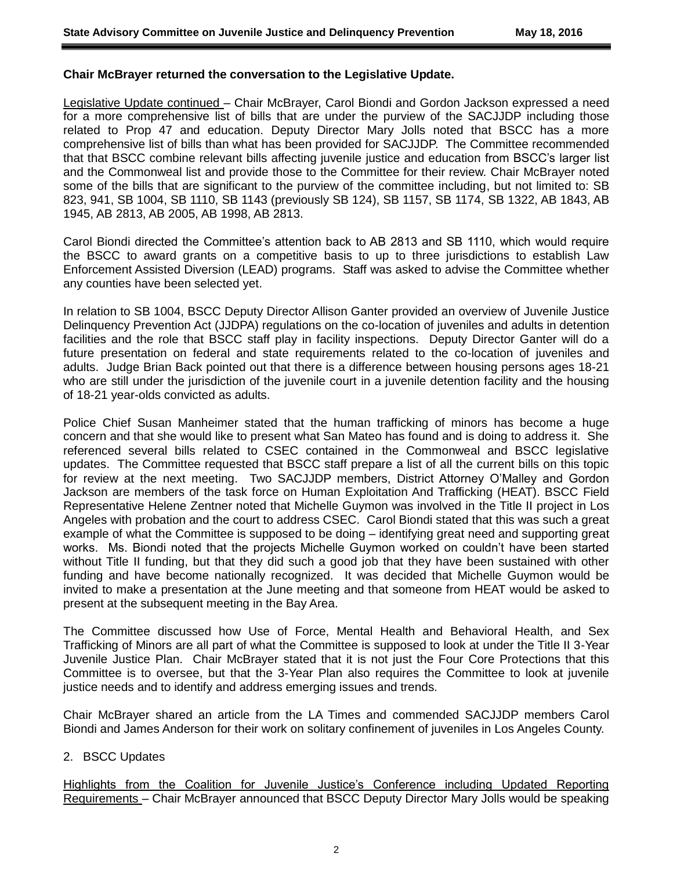## **Chair McBrayer returned the conversation to the Legislative Update.**

Legislative Update continued – Chair McBrayer, Carol Biondi and Gordon Jackson expressed a need for a more comprehensive list of bills that are under the purview of the SACJJDP including those related to Prop 47 and education. Deputy Director Mary Jolls noted that BSCC has a more comprehensive list of bills than what has been provided for SACJJDP. The Committee recommended that that BSCC combine relevant bills affecting juvenile justice and education from BSCC's larger list and the Commonweal list and provide those to the Committee for their review. Chair McBrayer noted some of the bills that are significant to the purview of the committee including, but not limited to: SB 823, 941, SB 1004, SB 1110, SB 1143 (previously SB 124), SB 1157, SB 1174, SB 1322, AB 1843, AB 1945, AB 2813, AB 2005, AB 1998, AB 2813.

Carol Biondi directed the Committee's attention back to AB 2813 and SB 1110, which would require the BSCC to award grants on a competitive basis to up to three jurisdictions to establish Law Enforcement Assisted Diversion (LEAD) programs. Staff was asked to advise the Committee whether any counties have been selected yet.

In relation to SB 1004, BSCC Deputy Director Allison Ganter provided an overview of Juvenile Justice Delinquency Prevention Act (JJDPA) regulations on the co-location of juveniles and adults in detention facilities and the role that BSCC staff play in facility inspections. Deputy Director Ganter will do a future presentation on federal and state requirements related to the co-location of juveniles and adults. Judge Brian Back pointed out that there is a difference between housing persons ages 18-21 who are still under the jurisdiction of the juvenile court in a juvenile detention facility and the housing of 18-21 year-olds convicted as adults.

Police Chief Susan Manheimer stated that the human trafficking of minors has become a huge concern and that she would like to present what San Mateo has found and is doing to address it. She referenced several bills related to CSEC contained in the Commonweal and BSCC legislative updates. The Committee requested that BSCC staff prepare a list of all the current bills on this topic for review at the next meeting. Two SACJJDP members, District Attorney O'Malley and Gordon Jackson are members of the task force on Human Exploitation And Trafficking (HEAT). BSCC Field Representative Helene Zentner noted that Michelle Guymon was involved in the Title II project in Los Angeles with probation and the court to address CSEC. Carol Biondi stated that this was such a great example of what the Committee is supposed to be doing – identifying great need and supporting great works. Ms. Biondi noted that the projects Michelle Guymon worked on couldn't have been started without Title II funding, but that they did such a good job that they have been sustained with other funding and have become nationally recognized. It was decided that Michelle Guymon would be invited to make a presentation at the June meeting and that someone from HEAT would be asked to present at the subsequent meeting in the Bay Area.

The Committee discussed how Use of Force, Mental Health and Behavioral Health, and Sex Trafficking of Minors are all part of what the Committee is supposed to look at under the Title II 3-Year Juvenile Justice Plan. Chair McBrayer stated that it is not just the Four Core Protections that this Committee is to oversee, but that the 3-Year Plan also requires the Committee to look at juvenile justice needs and to identify and address emerging issues and trends.

Chair McBrayer shared an article from the LA Times and commended SACJJDP members Carol Biondi and James Anderson for their work on solitary confinement of juveniles in Los Angeles County.

# 2. BSCC Updates

Highlights from the Coalition for Juvenile Justice's Conference including Updated Reporting Requirements – Chair McBrayer announced that BSCC Deputy Director Mary Jolls would be speaking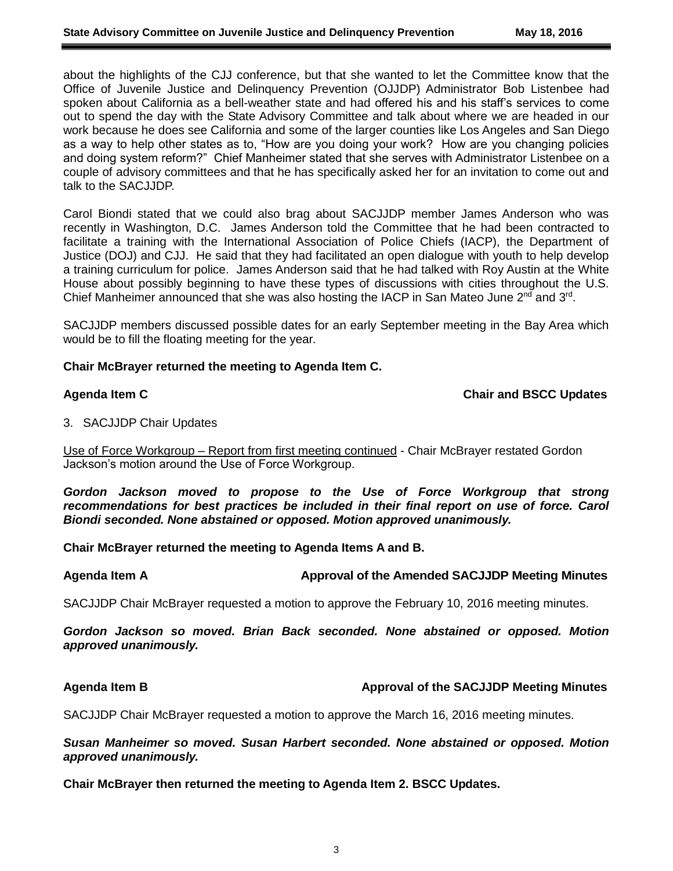about the highlights of the CJJ conference, but that she wanted to let the Committee know that the Office of Juvenile Justice and Delinquency Prevention (OJJDP) Administrator Bob Listenbee had spoken about California as a bell-weather state and had offered his and his staff's services to come out to spend the day with the State Advisory Committee and talk about where we are headed in our work because he does see California and some of the larger counties like Los Angeles and San Diego as a way to help other states as to, "How are you doing your work? How are you changing policies and doing system reform?" Chief Manheimer stated that she serves with Administrator Listenbee on a couple of advisory committees and that he has specifically asked her for an invitation to come out and talk to the SACJJDP.

Carol Biondi stated that we could also brag about SACJJDP member James Anderson who was recently in Washington, D.C. James Anderson told the Committee that he had been contracted to facilitate a training with the International Association of Police Chiefs (IACP), the Department of Justice (DOJ) and CJJ. He said that they had facilitated an open dialogue with youth to help develop a training curriculum for police. James Anderson said that he had talked with Roy Austin at the White House about possibly beginning to have these types of discussions with cities throughout the U.S. Chief Manheimer announced that she was also hosting the IACP in San Mateo June 2<sup>nd</sup> and 3<sup>rd</sup>.

SACJJDP members discussed possible dates for an early September meeting in the Bay Area which would be to fill the floating meeting for the year.

#### **Chair McBrayer returned the meeting to Agenda Item C.**

### **Agenda Item C Chair and BSCC Updates**

3. SACJJDP Chair Updates

Use of Force Workgroup – Report from first meeting continued - Chair McBrayer restated Gordon Jackson's motion around the Use of Force Workgroup.

*Gordon Jackson moved to propose to the Use of Force Workgroup that strong recommendations for best practices be included in their final report on use of force. Carol Biondi seconded. None abstained or opposed. Motion approved unanimously.*

**Chair McBrayer returned the meeting to Agenda Items A and B.**

#### **Agenda Item A Approval of the Amended SACJJDP Meeting Minutes**

SACJJDP Chair McBrayer requested a motion to approve the February 10, 2016 meeting minutes.

*Gordon Jackson so moved. Brian Back seconded. None abstained or opposed. Motion approved unanimously.*

### **Agenda Item B Approval of the SACJJDP Meeting Minutes**

SACJJDP Chair McBrayer requested a motion to approve the March 16, 2016 meeting minutes.

### *Susan Manheimer so moved. Susan Harbert seconded. None abstained or opposed. Motion approved unanimously.*

**Chair McBrayer then returned the meeting to Agenda Item 2. BSCC Updates.**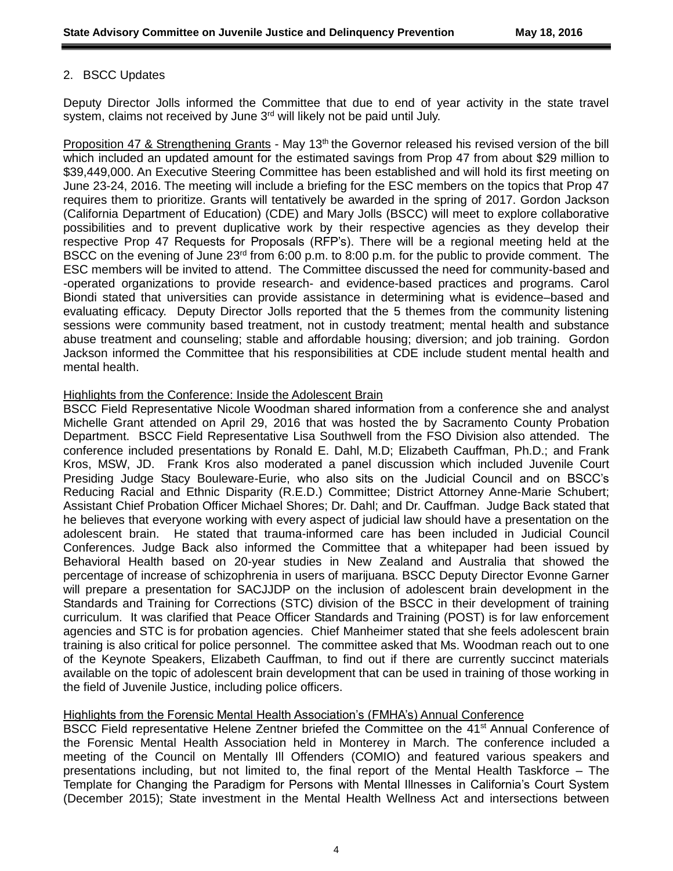# 2. BSCC Updates

Deputy Director Jolls informed the Committee that due to end of year activity in the state travel system, claims not received by June 3<sup>rd</sup> will likely not be paid until July.

Proposition 47 & Strengthening Grants - May 13<sup>th</sup> the Governor released his revised version of the bill which included an updated amount for the estimated savings from Prop 47 from about \$29 million to \$39,449,000. An Executive Steering Committee has been established and will hold its first meeting on June 23-24, 2016. The meeting will include a briefing for the ESC members on the topics that Prop 47 requires them to prioritize. Grants will tentatively be awarded in the spring of 2017. Gordon Jackson (California Department of Education) (CDE) and Mary Jolls (BSCC) will meet to explore collaborative possibilities and to prevent duplicative work by their respective agencies as they develop their respective Prop 47 Requests for Proposals (RFP's). There will be a regional meeting held at the BSCC on the evening of June  $23<sup>rd</sup>$  from 6:00 p.m. to 8:00 p.m. for the public to provide comment. The ESC members will be invited to attend. The Committee discussed the need for community-based and -operated organizations to provide research- and evidence-based practices and programs. Carol Biondi stated that universities can provide assistance in determining what is evidence–based and evaluating efficacy. Deputy Director Jolls reported that the 5 themes from the community listening sessions were community based treatment, not in custody treatment; mental health and substance abuse treatment and counseling; stable and affordable housing; diversion; and job training. Gordon Jackson informed the Committee that his responsibilities at CDE include student mental health and mental health.

#### Highlights from the Conference: Inside the Adolescent Brain

BSCC Field Representative Nicole Woodman shared information from a conference she and analyst Michelle Grant attended on April 29, 2016 that was hosted the by Sacramento County Probation Department. BSCC Field Representative Lisa Southwell from the FSO Division also attended. The conference included presentations by Ronald E. Dahl, M.D; Elizabeth Cauffman, Ph.D.; and Frank Kros, MSW, JD. Frank Kros also moderated a panel discussion which included Juvenile Court Presiding Judge Stacy Bouleware-Eurie, who also sits on the Judicial Council and on BSCC's Reducing Racial and Ethnic Disparity (R.E.D.) Committee; District Attorney Anne-Marie Schubert; Assistant Chief Probation Officer Michael Shores; Dr. Dahl; and Dr. Cauffman. Judge Back stated that he believes that everyone working with every aspect of judicial law should have a presentation on the adolescent brain. He stated that trauma-informed care has been included in Judicial Council Conferences. Judge Back also informed the Committee that a whitepaper had been issued by Behavioral Health based on 20-year studies in New Zealand and Australia that showed the percentage of increase of schizophrenia in users of marijuana. BSCC Deputy Director Evonne Garner will prepare a presentation for SACJJDP on the inclusion of adolescent brain development in the Standards and Training for Corrections (STC) division of the BSCC in their development of training curriculum. It was clarified that Peace Officer Standards and Training (POST) is for law enforcement agencies and STC is for probation agencies. Chief Manheimer stated that she feels adolescent brain training is also critical for police personnel. The committee asked that Ms. Woodman reach out to one of the Keynote Speakers, Elizabeth Cauffman, to find out if there are currently succinct materials available on the topic of adolescent brain development that can be used in training of those working in the field of Juvenile Justice, including police officers.

#### Highlights from the Forensic Mental Health Association's (FMHA's) Annual Conference

BSCC Field representative Helene Zentner briefed the Committee on the 41<sup>st</sup> Annual Conference of the Forensic Mental Health Association held in Monterey in March. The conference included a meeting of the Council on Mentally Ill Offenders (COMIO) and featured various speakers and presentations including, but not limited to, the final report of the Mental Health Taskforce – The Template for Changing the Paradigm for Persons with Mental Illnesses in California's Court System (December 2015); State investment in the Mental Health Wellness Act and intersections between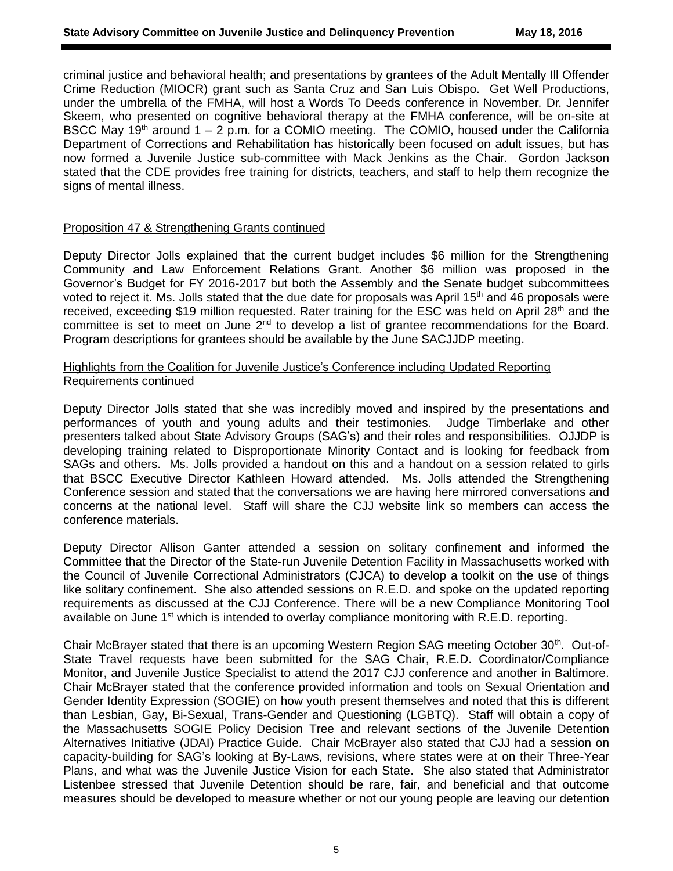criminal justice and behavioral health; and presentations by grantees of the Adult Mentally Ill Offender Crime Reduction (MIOCR) grant such as Santa Cruz and San Luis Obispo. Get Well Productions, under the umbrella of the FMHA, will host a Words To Deeds conference in November. Dr. Jennifer Skeem, who presented on cognitive behavioral therapy at the FMHA conference, will be on-site at BSCC May 19<sup>th</sup> around  $1 - 2$  p.m. for a COMIO meeting. The COMIO, housed under the California Department of Corrections and Rehabilitation has historically been focused on adult issues, but has now formed a Juvenile Justice sub-committee with Mack Jenkins as the Chair. Gordon Jackson stated that the CDE provides free training for districts, teachers, and staff to help them recognize the signs of mental illness.

#### Proposition 47 & Strengthening Grants continued

Deputy Director Jolls explained that the current budget includes \$6 million for the Strengthening Community and Law Enforcement Relations Grant. Another \$6 million was proposed in the Governor's Budget for FY 2016-2017 but both the Assembly and the Senate budget subcommittees voted to reject it. Ms. Jolls stated that the due date for proposals was April 15<sup>th</sup> and 46 proposals were received, exceeding \$19 million requested. Rater training for the ESC was held on April 28<sup>th</sup> and the committee is set to meet on June 2<sup>nd</sup> to develop a list of grantee recommendations for the Board. Program descriptions for grantees should be available by the June SACJJDP meeting.

## Highlights from the Coalition for Juvenile Justice's Conference including Updated Reporting Requirements continued

Deputy Director Jolls stated that she was incredibly moved and inspired by the presentations and performances of youth and young adults and their testimonies. Judge Timberlake and other presenters talked about State Advisory Groups (SAG's) and their roles and responsibilities. OJJDP is developing training related to Disproportionate Minority Contact and is looking for feedback from SAGs and others. Ms. Jolls provided a handout on this and a handout on a session related to girls that BSCC Executive Director Kathleen Howard attended. Ms. Jolls attended the Strengthening Conference session and stated that the conversations we are having here mirrored conversations and concerns at the national level. Staff will share the CJJ website link so members can access the conference materials.

Deputy Director Allison Ganter attended a session on solitary confinement and informed the Committee that the Director of the State-run Juvenile Detention Facility in Massachusetts worked with the Council of Juvenile Correctional Administrators (CJCA) to develop a toolkit on the use of things like solitary confinement. She also attended sessions on R.E.D. and spoke on the updated reporting requirements as discussed at the CJJ Conference. There will be a new Compliance Monitoring Tool available on June 1<sup>st</sup> which is intended to overlay compliance monitoring with R.E.D. reporting.

Chair McBrayer stated that there is an upcoming Western Region SAG meeting October 30<sup>th</sup>. Out-of-State Travel requests have been submitted for the SAG Chair, R.E.D. Coordinator/Compliance Monitor, and Juvenile Justice Specialist to attend the 2017 CJJ conference and another in Baltimore. Chair McBrayer stated that the conference provided information and tools on Sexual Orientation and Gender Identity Expression (SOGIE) on how youth present themselves and noted that this is different than Lesbian, Gay, Bi-Sexual, Trans-Gender and Questioning (LGBTQ). Staff will obtain a copy of the Massachusetts SOGIE Policy Decision Tree and relevant sections of the Juvenile Detention Alternatives Initiative (JDAI) Practice Guide. Chair McBrayer also stated that CJJ had a session on capacity-building for SAG's looking at By-Laws, revisions, where states were at on their Three-Year Plans, and what was the Juvenile Justice Vision for each State. She also stated that Administrator Listenbee stressed that Juvenile Detention should be rare, fair, and beneficial and that outcome measures should be developed to measure whether or not our young people are leaving our detention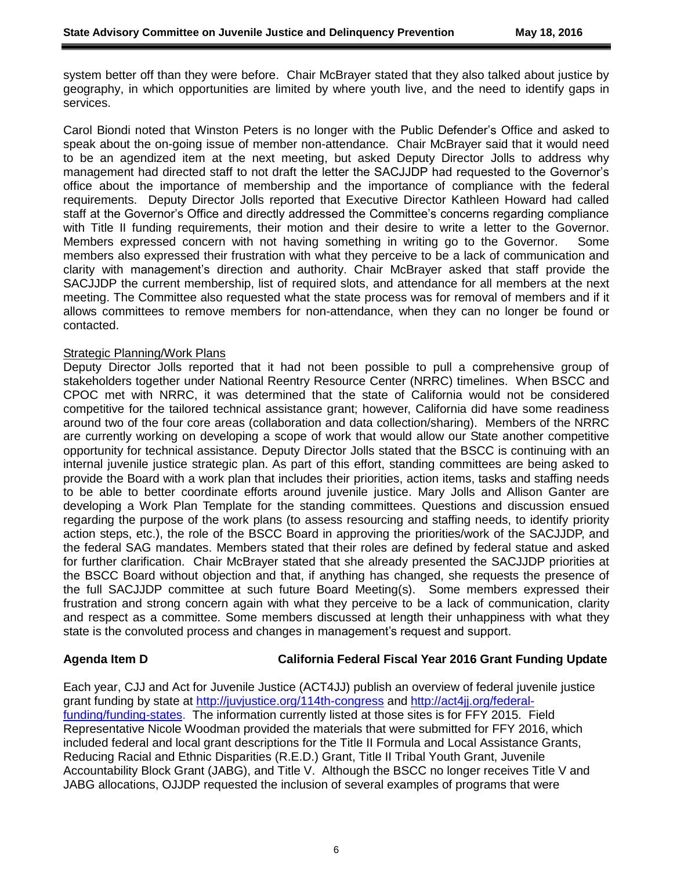system better off than they were before. Chair McBrayer stated that they also talked about justice by geography, in which opportunities are limited by where youth live, and the need to identify gaps in services.

Carol Biondi noted that Winston Peters is no longer with the Public Defender's Office and asked to speak about the on-going issue of member non-attendance. Chair McBrayer said that it would need to be an agendized item at the next meeting, but asked Deputy Director Jolls to address why management had directed staff to not draft the letter the SACJJDP had requested to the Governor's office about the importance of membership and the importance of compliance with the federal requirements. Deputy Director Jolls reported that Executive Director Kathleen Howard had called staff at the Governor's Office and directly addressed the Committee's concerns regarding compliance with Title II funding requirements, their motion and their desire to write a letter to the Governor. Members expressed concern with not having something in writing go to the Governor. Some members also expressed their frustration with what they perceive to be a lack of communication and clarity with management's direction and authority. Chair McBrayer asked that staff provide the SACJJDP the current membership, list of required slots, and attendance for all members at the next meeting. The Committee also requested what the state process was for removal of members and if it allows committees to remove members for non-attendance, when they can no longer be found or contacted.

#### Strategic Planning/Work Plans

Deputy Director Jolls reported that it had not been possible to pull a comprehensive group of stakeholders together under National Reentry Resource Center (NRRC) timelines. When BSCC and CPOC met with NRRC, it was determined that the state of California would not be considered competitive for the tailored technical assistance grant; however, California did have some readiness around two of the four core areas (collaboration and data collection/sharing). Members of the NRRC are currently working on developing a scope of work that would allow our State another competitive opportunity for technical assistance. Deputy Director Jolls stated that the BSCC is continuing with an internal juvenile justice strategic plan. As part of this effort, standing committees are being asked to provide the Board with a work plan that includes their priorities, action items, tasks and staffing needs to be able to better coordinate efforts around juvenile justice. Mary Jolls and Allison Ganter are developing a Work Plan Template for the standing committees. Questions and discussion ensued regarding the purpose of the work plans (to assess resourcing and staffing needs, to identify priority action steps, etc.), the role of the BSCC Board in approving the priorities/work of the SACJJDP, and the federal SAG mandates. Members stated that their roles are defined by federal statue and asked for further clarification. Chair McBrayer stated that she already presented the SACJJDP priorities at the BSCC Board without objection and that, if anything has changed, she requests the presence of the full SACJJDP committee at such future Board Meeting(s). Some members expressed their frustration and strong concern again with what they perceive to be a lack of communication, clarity and respect as a committee. Some members discussed at length their unhappiness with what they state is the convoluted process and changes in management's request and support.

### **Agenda Item D California Federal Fiscal Year 2016 Grant Funding Update**

Each year, CJJ and Act for Juvenile Justice (ACT4JJ) publish an overview of federal juvenile justice grant funding by state at<http://juvjustice.org/114th-congress> and [http://act4jj.org/federal](http://act4jj.org/federal-funding/funding-states)[funding/funding-states.](http://act4jj.org/federal-funding/funding-states) The information currently listed at those sites is for FFY 2015. Field Representative Nicole Woodman provided the materials that were submitted for FFY 2016, which included federal and local grant descriptions for the Title II Formula and Local Assistance Grants, Reducing Racial and Ethnic Disparities (R.E.D.) Grant, Title II Tribal Youth Grant, Juvenile Accountability Block Grant (JABG), and Title V. Although the BSCC no longer receives Title V and JABG allocations, OJJDP requested the inclusion of several examples of programs that were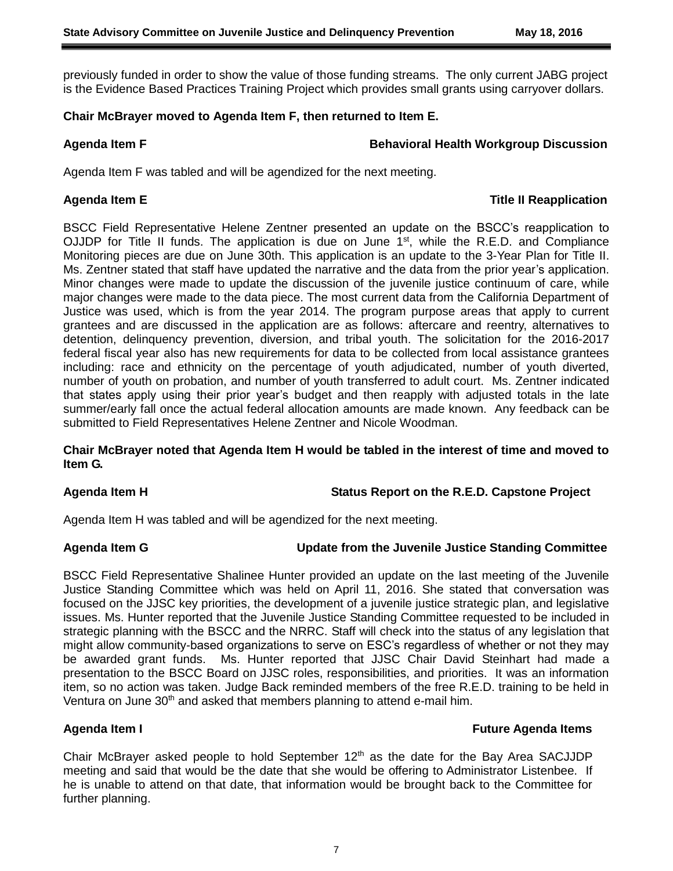previously funded in order to show the value of those funding streams. The only current JABG project is the Evidence Based Practices Training Project which provides small grants using carryover dollars.

# **Chair McBrayer moved to Agenda Item F, then returned to Item E.**

## **Agenda Item F Behavioral Health Workgroup Discussion**

Agenda Item F was tabled and will be agendized for the next meeting.

# **Agenda Item E Title II Reapplication**

BSCC Field Representative Helene Zentner presented an update on the BSCC's reapplication to OJJDP for Title II funds. The application is due on June  $1<sup>st</sup>$ , while the R.E.D. and Compliance Monitoring pieces are due on June 30th. This application is an update to the 3-Year Plan for Title II. Ms. Zentner stated that staff have updated the narrative and the data from the prior year's application. Minor changes were made to update the discussion of the juvenile justice continuum of care, while major changes were made to the data piece. The most current data from the California Department of Justice was used, which is from the year 2014. The program purpose areas that apply to current grantees and are discussed in the application are as follows: aftercare and reentry, alternatives to detention, delinquency prevention, diversion, and tribal youth. The solicitation for the 2016-2017 federal fiscal year also has new requirements for data to be collected from local assistance grantees including: race and ethnicity on the percentage of youth adjudicated, number of youth diverted, number of youth on probation, and number of youth transferred to adult court. Ms. Zentner indicated that states apply using their prior year's budget and then reapply with adjusted totals in the late summer/early fall once the actual federal allocation amounts are made known. Any feedback can be submitted to Field Representatives Helene Zentner and Nicole Woodman.

# **Chair McBrayer noted that Agenda Item H would be tabled in the interest of time and moved to Item G.**

# **Agenda Item H Status Report on the R.E.D. Capstone Project**

Agenda Item H was tabled and will be agendized for the next meeting.

# **Agenda Item G Update from the Juvenile Justice Standing Committee**

BSCC Field Representative Shalinee Hunter provided an update on the last meeting of the Juvenile Justice Standing Committee which was held on April 11, 2016. She stated that conversation was focused on the JJSC key priorities, the development of a juvenile justice strategic plan, and legislative issues. Ms. Hunter reported that the Juvenile Justice Standing Committee requested to be included in strategic planning with the BSCC and the NRRC. Staff will check into the status of any legislation that might allow community-based organizations to serve on ESC's regardless of whether or not they may be awarded grant funds. Ms. Hunter reported that JJSC Chair David Steinhart had made a presentation to the BSCC Board on JJSC roles, responsibilities, and priorities. It was an information item, so no action was taken. Judge Back reminded members of the free R.E.D. training to be held in Ventura on June 30<sup>th</sup> and asked that members planning to attend e-mail him.

### **Agenda Item I Future Agenda Items**

Chair McBrayer asked people to hold September  $12<sup>th</sup>$  as the date for the Bay Area SACJJDP meeting and said that would be the date that she would be offering to Administrator Listenbee. If he is unable to attend on that date, that information would be brought back to the Committee for further planning.